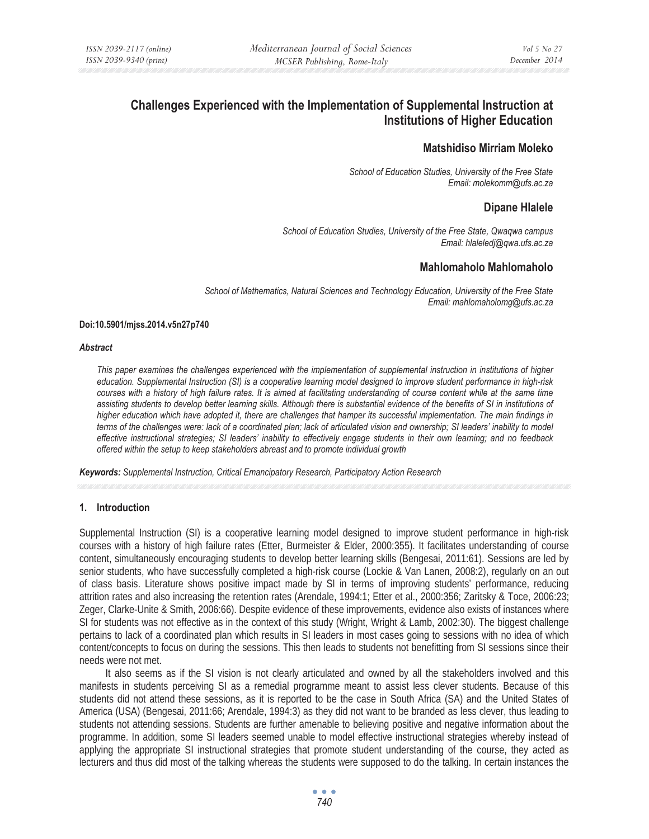# **Challenges Experienced with the Implementation of Supplemental Instruction at Institutions of Higher Education**

# **Matshidiso Mirriam Moleko**

*School of Education Studies, University of the Free State Email: molekomm@ufs.ac.za* 

# **Dipane Hlalele**

*School of Education Studies, University of the Free State, Qwaqwa campus Email: hlaleledj@qwa.ufs.ac.za* 

# **Mahlomaholo Mahlomaholo**

*School of Mathematics, Natural Sciences and Technology Education, University of the Free State Email: mahlomaholomg@ufs.ac.za* 

#### **Doi:10.5901/mjss.2014.v5n27p740**

#### *Abstract*

*This paper examines the challenges experienced with the implementation of supplemental instruction in institutions of higher education. Supplemental Instruction (SI) is a cooperative learning model designed to improve student performance in high-risk*  courses with a history of high failure rates. It is aimed at facilitating understanding of course content while at the same time *assisting students to develop better learning skills. Although there is substantial evidence of the benefits of SI in institutions of higher education which have adopted it, there are challenges that hamper its successful implementation. The main findings in terms of the challenges were: lack of a coordinated plan; lack of articulated vision and ownership; SI leaders' inability to model effective instructional strategies; SI leaders' inability to effectively engage students in their own learning; and no feedback offered within the setup to keep stakeholders abreast and to promote individual growth* 

*Keywords: Supplemental Instruction, Critical Emancipatory Research, Participatory Action Research*

## **1. Introduction**

Supplemental Instruction (SI) is a cooperative learning model designed to improve student performance in high-risk courses with a history of high failure rates (Etter, Burmeister & Elder, 2000:355). It facilitates understanding of course content, simultaneously encouraging students to develop better learning skills (Bengesai, 2011:61). Sessions are led by senior students, who have successfully completed a high-risk course (Lockie & Van Lanen, 2008:2), regularly on an out of class basis. Literature shows positive impact made by SI in terms of improving students' performance, reducing attrition rates and also increasing the retention rates (Arendale, 1994:1; Etter et al., 2000:356; Zaritsky & Toce, 2006:23; Zeger, Clarke-Unite & Smith, 2006:66). Despite evidence of these improvements, evidence also exists of instances where SI for students was not effective as in the context of this study (Wright, Wright & Lamb, 2002:30). The biggest challenge pertains to lack of a coordinated plan which results in SI leaders in most cases going to sessions with no idea of which content/concepts to focus on during the sessions. This then leads to students not benefitting from SI sessions since their needs were not met.

It also seems as if the SI vision is not clearly articulated and owned by all the stakeholders involved and this manifests in students perceiving SI as a remedial programme meant to assist less clever students. Because of this students did not attend these sessions, as it is reported to be the case in South Africa (SA) and the United States of America (USA) (Bengesai, 2011:66; Arendale, 1994:3) as they did not want to be branded as less clever, thus leading to students not attending sessions. Students are further amenable to believing positive and negative information about the programme. In addition, some SI leaders seemed unable to model effective instructional strategies whereby instead of applying the appropriate SI instructional strategies that promote student understanding of the course, they acted as lecturers and thus did most of the talking whereas the students were supposed to do the talking. In certain instances the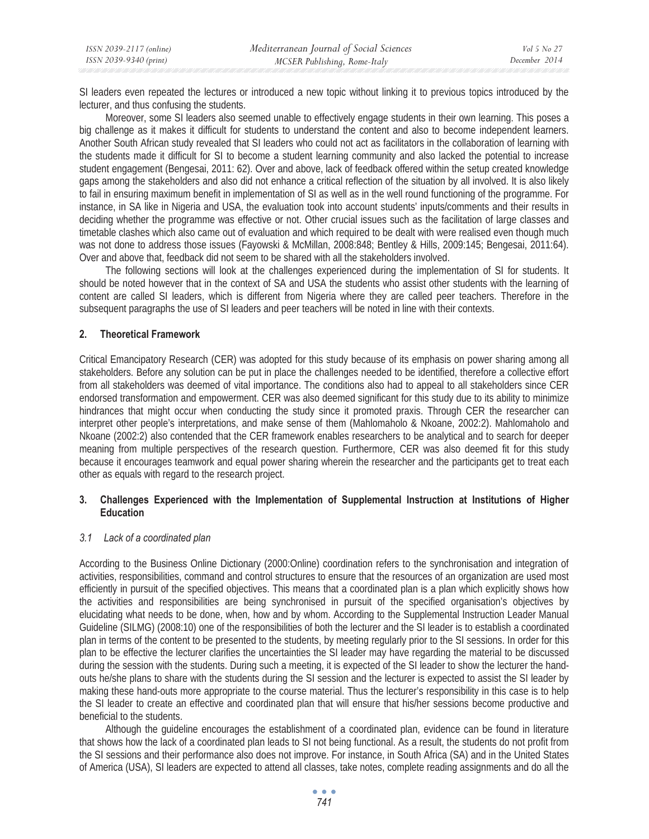SI leaders even repeated the lectures or introduced a new topic without linking it to previous topics introduced by the lecturer, and thus confusing the students.

Moreover, some SI leaders also seemed unable to effectively engage students in their own learning. This poses a big challenge as it makes it difficult for students to understand the content and also to become independent learners. Another South African study revealed that SI leaders who could not act as facilitators in the collaboration of learning with the students made it difficult for SI to become a student learning community and also lacked the potential to increase student engagement (Bengesai, 2011: 62). Over and above, lack of feedback offered within the setup created knowledge gaps among the stakeholders and also did not enhance a critical reflection of the situation by all involved. It is also likely to fail in ensuring maximum benefit in implementation of SI as well as in the well round functioning of the programme. For instance, in SA like in Nigeria and USA, the evaluation took into account students' inputs/comments and their results in deciding whether the programme was effective or not. Other crucial issues such as the facilitation of large classes and timetable clashes which also came out of evaluation and which required to be dealt with were realised even though much was not done to address those issues (Fayowski & McMillan, 2008:848; Bentley & Hills, 2009:145; Bengesai, 2011:64). Over and above that, feedback did not seem to be shared with all the stakeholders involved.

The following sections will look at the challenges experienced during the implementation of SI for students. It should be noted however that in the context of SA and USA the students who assist other students with the learning of content are called SI leaders, which is different from Nigeria where they are called peer teachers. Therefore in the subsequent paragraphs the use of SI leaders and peer teachers will be noted in line with their contexts.

# **2. Theoretical Framework**

Critical Emancipatory Research (CER) was adopted for this study because of its emphasis on power sharing among all stakeholders. Before any solution can be put in place the challenges needed to be identified, therefore a collective effort from all stakeholders was deemed of vital importance. The conditions also had to appeal to all stakeholders since CER endorsed transformation and empowerment. CER was also deemed significant for this study due to its ability to minimize hindrances that might occur when conducting the study since it promoted praxis. Through CER the researcher can interpret other people's interpretations, and make sense of them (Mahlomaholo & Nkoane, 2002:2). Mahlomaholo and Nkoane (2002:2) also contended that the CER framework enables researchers to be analytical and to search for deeper meaning from multiple perspectives of the research question. Furthermore, CER was also deemed fit for this study because it encourages teamwork and equal power sharing wherein the researcher and the participants get to treat each other as equals with regard to the research project.

# **3. Challenges Experienced with the Implementation of Supplemental Instruction at Institutions of Higher Education**

## *3.1 Lack of a coordinated plan*

According to the Business Online Dictionary (2000:Online) coordination refers to the synchronisation and integration of activities, responsibilities, command and control structures to ensure that the resources of an organization are used most efficiently in pursuit of the specified objectives. This means that a coordinated plan is a plan which explicitly shows how the activities and responsibilities are being synchronised in pursuit of the specified organisation's objectives by elucidating what needs to be done, when, how and by whom. According to the Supplemental Instruction Leader Manual Guideline (SILMG) (2008:10) one of the responsibilities of both the lecturer and the SI leader is to establish a coordinated plan in terms of the content to be presented to the students, by meeting regularly prior to the SI sessions. In order for this plan to be effective the lecturer clarifies the uncertainties the SI leader may have regarding the material to be discussed during the session with the students. During such a meeting, it is expected of the SI leader to show the lecturer the handouts he/she plans to share with the students during the SI session and the lecturer is expected to assist the SI leader by making these hand-outs more appropriate to the course material. Thus the lecturer's responsibility in this case is to help the SI leader to create an effective and coordinated plan that will ensure that his/her sessions become productive and beneficial to the students.

Although the guideline encourages the establishment of a coordinated plan, evidence can be found in literature that shows how the lack of a coordinated plan leads to SI not being functional. As a result, the students do not profit from the SI sessions and their performance also does not improve. For instance, in South Africa (SA) and in the United States of America (USA), SI leaders are expected to attend all classes, take notes, complete reading assignments and do all the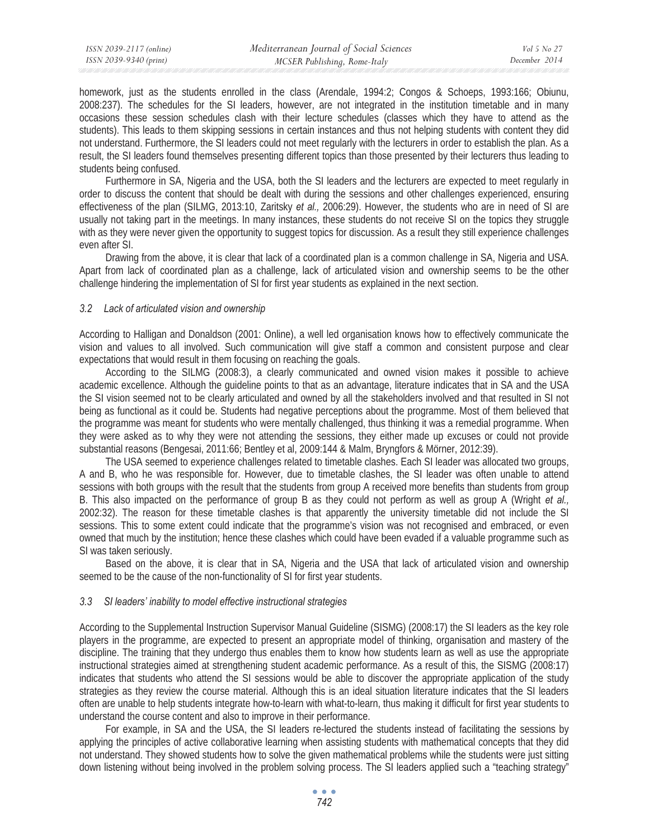homework, just as the students enrolled in the class (Arendale, 1994:2; Congos & Schoeps, 1993:166; Obiunu, 2008:237). The schedules for the SI leaders, however, are not integrated in the institution timetable and in many occasions these session schedules clash with their lecture schedules (classes which they have to attend as the students). This leads to them skipping sessions in certain instances and thus not helping students with content they did not understand. Furthermore, the SI leaders could not meet regularly with the lecturers in order to establish the plan. As a result, the SI leaders found themselves presenting different topics than those presented by their lecturers thus leading to students being confused.

Furthermore in SA, Nigeria and the USA, both the SI leaders and the lecturers are expected to meet regularly in order to discuss the content that should be dealt with during the sessions and other challenges experienced, ensuring effectiveness of the plan (SILMG, 2013:10, Zaritsky *et al.,* 2006:29). However, the students who are in need of SI are usually not taking part in the meetings. In many instances, these students do not receive SI on the topics they struggle with as they were never given the opportunity to suggest topics for discussion. As a result they still experience challenges even after SI.

Drawing from the above, it is clear that lack of a coordinated plan is a common challenge in SA, Nigeria and USA. Apart from lack of coordinated plan as a challenge, lack of articulated vision and ownership seems to be the other challenge hindering the implementation of SI for first year students as explained in the next section.

#### *3.2 Lack of articulated vision and ownership*

According to Halligan and Donaldson (2001: Online), a well led organisation knows how to effectively communicate the vision and values to all involved. Such communication will give staff a common and consistent purpose and clear expectations that would result in them focusing on reaching the goals.

According to the SILMG (2008:3), a clearly communicated and owned vision makes it possible to achieve academic excellence. Although the guideline points to that as an advantage, literature indicates that in SA and the USA the SI vision seemed not to be clearly articulated and owned by all the stakeholders involved and that resulted in SI not being as functional as it could be. Students had negative perceptions about the programme. Most of them believed that the programme was meant for students who were mentally challenged, thus thinking it was a remedial programme. When they were asked as to why they were not attending the sessions, they either made up excuses or could not provide substantial reasons (Bengesai, 2011:66; Bentley et al, 2009:144 & Malm, Bryngfors & Mörner, 2012:39).

The USA seemed to experience challenges related to timetable clashes. Each SI leader was allocated two groups, A and B, who he was responsible for. However, due to timetable clashes, the SI leader was often unable to attend sessions with both groups with the result that the students from group A received more benefits than students from group B. This also impacted on the performance of group B as they could not perform as well as group A (Wright *et al.,* 2002:32). The reason for these timetable clashes is that apparently the university timetable did not include the SI sessions. This to some extent could indicate that the programme's vision was not recognised and embraced, or even owned that much by the institution; hence these clashes which could have been evaded if a valuable programme such as SI was taken seriously.

Based on the above, it is clear that in SA, Nigeria and the USA that lack of articulated vision and ownership seemed to be the cause of the non-functionality of SI for first year students.

#### *3.3 SI leaders' inability to model effective instructional strategies*

According to the Supplemental Instruction Supervisor Manual Guideline (SISMG) (2008:17) the SI leaders as the key role players in the programme, are expected to present an appropriate model of thinking, organisation and mastery of the discipline. The training that they undergo thus enables them to know how students learn as well as use the appropriate instructional strategies aimed at strengthening student academic performance. As a result of this, the SISMG (2008:17) indicates that students who attend the SI sessions would be able to discover the appropriate application of the study strategies as they review the course material. Although this is an ideal situation literature indicates that the SI leaders often are unable to help students integrate how-to-learn with what-to-learn, thus making it difficult for first year students to understand the course content and also to improve in their performance.

For example, in SA and the USA, the SI leaders re-lectured the students instead of facilitating the sessions by applying the principles of active collaborative learning when assisting students with mathematical concepts that they did not understand. They showed students how to solve the given mathematical problems while the students were just sitting down listening without being involved in the problem solving process. The SI leaders applied such a "teaching strategy"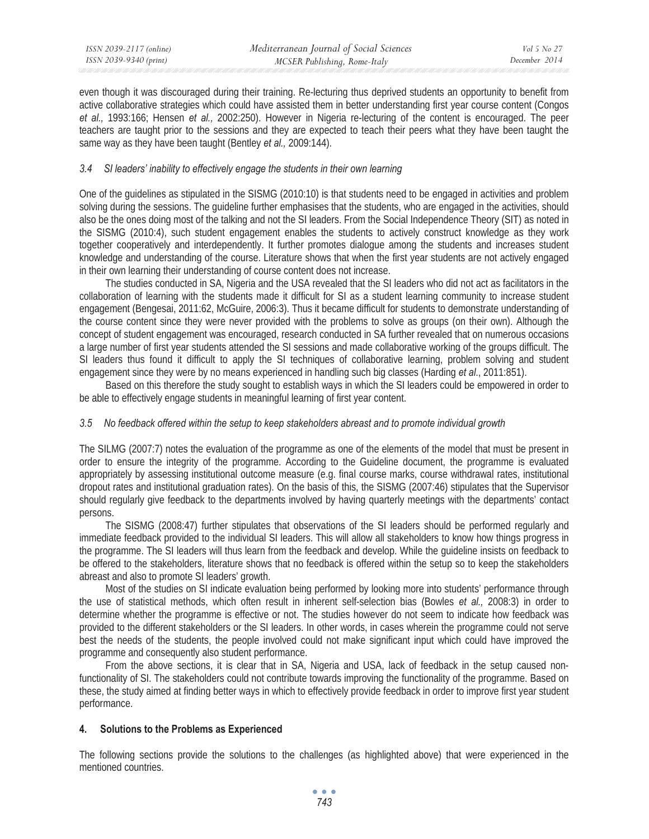even though it was discouraged during their training. Re-lecturing thus deprived students an opportunity to benefit from active collaborative strategies which could have assisted them in better understanding first year course content (Congos *et al.,* 1993:166; Hensen *et al.,* 2002:250). However in Nigeria re-lecturing of the content is encouraged. The peer teachers are taught prior to the sessions and they are expected to teach their peers what they have been taught the same way as they have been taught (Bentley *et al.,* 2009:144).

# *3.4 SI leaders' inability to effectively engage the students in their own learning*

One of the guidelines as stipulated in the SISMG (2010:10) is that students need to be engaged in activities and problem solving during the sessions. The guideline further emphasises that the students, who are engaged in the activities, should also be the ones doing most of the talking and not the SI leaders. From the Social Independence Theory (SIT) as noted in the SISMG (2010:4), such student engagement enables the students to actively construct knowledge as they work together cooperatively and interdependently. It further promotes dialogue among the students and increases student knowledge and understanding of the course. Literature shows that when the first year students are not actively engaged in their own learning their understanding of course content does not increase.

The studies conducted in SA, Nigeria and the USA revealed that the SI leaders who did not act as facilitators in the collaboration of learning with the students made it difficult for SI as a student learning community to increase student engagement (Bengesai, 2011:62, McGuire, 2006:3). Thus it became difficult for students to demonstrate understanding of the course content since they were never provided with the problems to solve as groups (on their own). Although the concept of student engagement was encouraged, research conducted in SA further revealed that on numerous occasions a large number of first year students attended the SI sessions and made collaborative working of the groups difficult. The SI leaders thus found it difficult to apply the SI techniques of collaborative learning, problem solving and student engagement since they were by no means experienced in handling such big classes (Harding *et al*., 2011:851).

Based on this therefore the study sought to establish ways in which the SI leaders could be empowered in order to be able to effectively engage students in meaningful learning of first year content.

## *3.5 No feedback offered within the setup to keep stakeholders abreast and to promote individual growth*

The SILMG (2007:7) notes the evaluation of the programme as one of the elements of the model that must be present in order to ensure the integrity of the programme. According to the Guideline document, the programme is evaluated appropriately by assessing institutional outcome measure (e.g. final course marks, course withdrawal rates, institutional dropout rates and institutional graduation rates). On the basis of this, the SISMG (2007:46) stipulates that the Supervisor should regularly give feedback to the departments involved by having quarterly meetings with the departments' contact persons.

The SISMG (2008:47) further stipulates that observations of the SI leaders should be performed regularly and immediate feedback provided to the individual SI leaders. This will allow all stakeholders to know how things progress in the programme. The SI leaders will thus learn from the feedback and develop. While the guideline insists on feedback to be offered to the stakeholders, literature shows that no feedback is offered within the setup so to keep the stakeholders abreast and also to promote SI leaders' growth.

Most of the studies on SI indicate evaluation being performed by looking more into students' performance through the use of statistical methods, which often result in inherent self-selection bias (Bowles *et al.,* 2008:3) in order to determine whether the programme is effective or not. The studies however do not seem to indicate how feedback was provided to the different stakeholders or the SI leaders. In other words, in cases wherein the programme could not serve best the needs of the students, the people involved could not make significant input which could have improved the programme and consequently also student performance.

From the above sections, it is clear that in SA, Nigeria and USA, lack of feedback in the setup caused nonfunctionality of SI. The stakeholders could not contribute towards improving the functionality of the programme. Based on these, the study aimed at finding better ways in which to effectively provide feedback in order to improve first year student performance.

## **4. Solutions to the Problems as Experienced**

The following sections provide the solutions to the challenges (as highlighted above) that were experienced in the mentioned countries.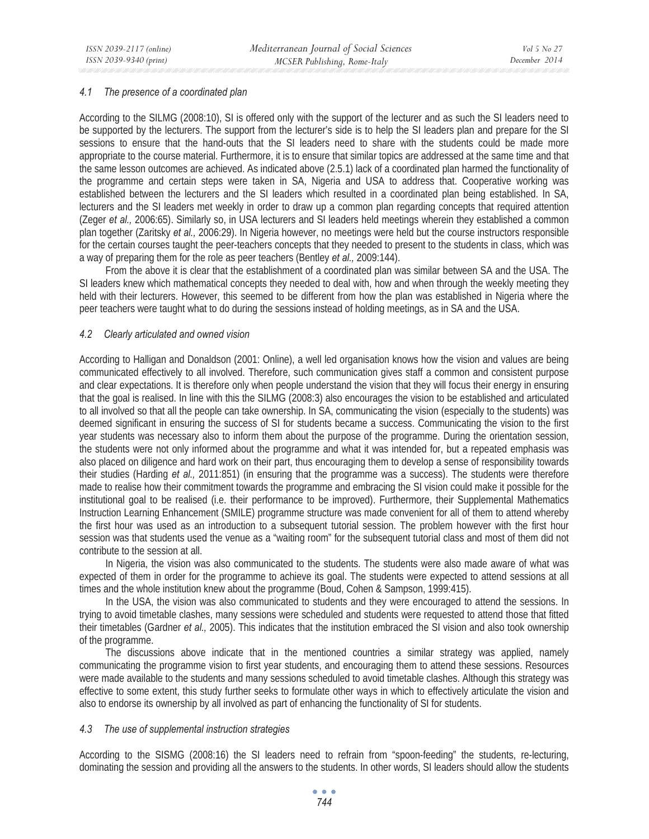#### *4.1 The presence of a coordinated plan*

According to the SILMG (2008:10), SI is offered only with the support of the lecturer and as such the SI leaders need to be supported by the lecturers. The support from the lecturer's side is to help the SI leaders plan and prepare for the SI sessions to ensure that the hand-outs that the SI leaders need to share with the students could be made more appropriate to the course material. Furthermore, it is to ensure that similar topics are addressed at the same time and that the same lesson outcomes are achieved. As indicated above (2.5.1) lack of a coordinated plan harmed the functionality of the programme and certain steps were taken in SA, Nigeria and USA to address that. Cooperative working was established between the lecturers and the SI leaders which resulted in a coordinated plan being established. In SA, lecturers and the SI leaders met weekly in order to draw up a common plan regarding concepts that required attention (Zeger *et al.,* 2006:65). Similarly so, in USA lecturers and SI leaders held meetings wherein they established a common plan together (Zaritsky *et al.,* 2006:29). In Nigeria however, no meetings were held but the course instructors responsible for the certain courses taught the peer-teachers concepts that they needed to present to the students in class, which was a way of preparing them for the role as peer teachers (Bentley *et al.,* 2009:144).

From the above it is clear that the establishment of a coordinated plan was similar between SA and the USA. The SI leaders knew which mathematical concepts they needed to deal with, how and when through the weekly meeting they held with their lecturers. However, this seemed to be different from how the plan was established in Nigeria where the peer teachers were taught what to do during the sessions instead of holding meetings, as in SA and the USA.

#### *4.2 Clearly articulated and owned vision*

According to Halligan and Donaldson (2001: Online), a well led organisation knows how the vision and values are being communicated effectively to all involved. Therefore, such communication gives staff a common and consistent purpose and clear expectations. It is therefore only when people understand the vision that they will focus their energy in ensuring that the goal is realised. In line with this the SILMG (2008:3) also encourages the vision to be established and articulated to all involved so that all the people can take ownership. In SA, communicating the vision (especially to the students) was deemed significant in ensuring the success of SI for students became a success. Communicating the vision to the first year students was necessary also to inform them about the purpose of the programme. During the orientation session, the students were not only informed about the programme and what it was intended for, but a repeated emphasis was also placed on diligence and hard work on their part, thus encouraging them to develop a sense of responsibility towards their studies (Harding *et al.,* 2011:851) (in ensuring that the programme was a success). The students were therefore made to realise how their commitment towards the programme and embracing the SI vision could make it possible for the institutional goal to be realised (i.e. their performance to be improved). Furthermore, their Supplemental Mathematics Instruction Learning Enhancement (SMILE) programme structure was made convenient for all of them to attend whereby the first hour was used as an introduction to a subsequent tutorial session. The problem however with the first hour session was that students used the venue as a "waiting room" for the subsequent tutorial class and most of them did not contribute to the session at all.

In Nigeria, the vision was also communicated to the students. The students were also made aware of what was expected of them in order for the programme to achieve its goal. The students were expected to attend sessions at all times and the whole institution knew about the programme (Boud, Cohen & Sampson, 1999:415).

In the USA, the vision was also communicated to students and they were encouraged to attend the sessions. In trying to avoid timetable clashes, many sessions were scheduled and students were requested to attend those that fitted their timetables (Gardner *et al.,* 2005). This indicates that the institution embraced the SI vision and also took ownership of the programme.

The discussions above indicate that in the mentioned countries a similar strategy was applied, namely communicating the programme vision to first year students, and encouraging them to attend these sessions. Resources were made available to the students and many sessions scheduled to avoid timetable clashes. Although this strategy was effective to some extent, this study further seeks to formulate other ways in which to effectively articulate the vision and also to endorse its ownership by all involved as part of enhancing the functionality of SI for students.

## *4.3 The use of supplemental instruction strategies*

According to the SISMG (2008:16) the SI leaders need to refrain from "spoon-feeding" the students, re-lecturing, dominating the session and providing all the answers to the students. In other words, SI leaders should allow the students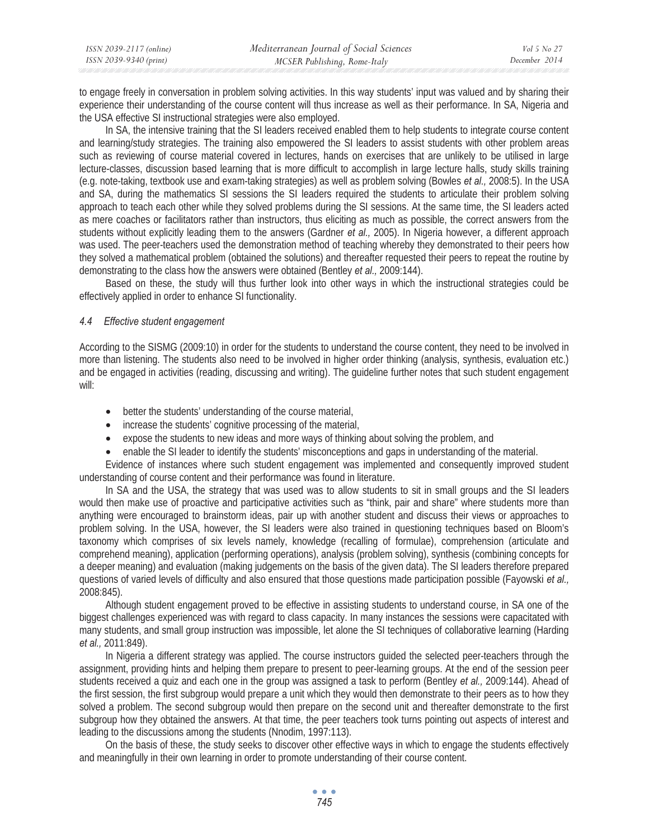| ISSN 2039-2117 (online) | Mediterranean Journal of Social Sciences | Vol 5 No 27   |
|-------------------------|------------------------------------------|---------------|
| ISSN 2039-9340 (print)  | MCSER Publishing, Rome-Italy             | December 2014 |

to engage freely in conversation in problem solving activities. In this way students' input was valued and by sharing their experience their understanding of the course content will thus increase as well as their performance. In SA, Nigeria and the USA effective SI instructional strategies were also employed.

In SA, the intensive training that the SI leaders received enabled them to help students to integrate course content and learning/study strategies. The training also empowered the SI leaders to assist students with other problem areas such as reviewing of course material covered in lectures, hands on exercises that are unlikely to be utilised in large lecture-classes, discussion based learning that is more difficult to accomplish in large lecture halls, study skills training (e.g. note-taking, textbook use and exam-taking strategies) as well as problem solving (Bowles *et al.,* 2008:5). In the USA and SA, during the mathematics SI sessions the SI leaders required the students to articulate their problem solving approach to teach each other while they solved problems during the SI sessions. At the same time, the SI leaders acted as mere coaches or facilitators rather than instructors, thus eliciting as much as possible, the correct answers from the students without explicitly leading them to the answers (Gardner *et al.,* 2005). In Nigeria however, a different approach was used. The peer-teachers used the demonstration method of teaching whereby they demonstrated to their peers how they solved a mathematical problem (obtained the solutions) and thereafter requested their peers to repeat the routine by demonstrating to the class how the answers were obtained (Bentley *et al.,* 2009:144).

Based on these, the study will thus further look into other ways in which the instructional strategies could be effectively applied in order to enhance SI functionality.

## *4.4 Effective student engagement*

According to the SISMG (2009:10) in order for the students to understand the course content, they need to be involved in more than listening. The students also need to be involved in higher order thinking (analysis, synthesis, evaluation etc.) and be engaged in activities (reading, discussing and writing). The guideline further notes that such student engagement will:

- better the students' understanding of the course material,
- increase the students' cognitive processing of the material,
- expose the students to new ideas and more ways of thinking about solving the problem, and
- enable the SI leader to identify the students' misconceptions and gaps in understanding of the material.

Evidence of instances where such student engagement was implemented and consequently improved student understanding of course content and their performance was found in literature.

In SA and the USA, the strategy that was used was to allow students to sit in small groups and the SI leaders would then make use of proactive and participative activities such as "think, pair and share" where students more than anything were encouraged to brainstorm ideas, pair up with another student and discuss their views or approaches to problem solving. In the USA, however, the SI leaders were also trained in questioning techniques based on Bloom's taxonomy which comprises of six levels namely, knowledge (recalling of formulae), comprehension (articulate and comprehend meaning), application (performing operations), analysis (problem solving), synthesis (combining concepts for a deeper meaning) and evaluation (making judgements on the basis of the given data). The SI leaders therefore prepared questions of varied levels of difficulty and also ensured that those questions made participation possible (Fayowski *et al.,* 2008:845).

Although student engagement proved to be effective in assisting students to understand course, in SA one of the biggest challenges experienced was with regard to class capacity. In many instances the sessions were capacitated with many students, and small group instruction was impossible, let alone the SI techniques of collaborative learning (Harding *et al.,* 2011:849).

In Nigeria a different strategy was applied. The course instructors guided the selected peer-teachers through the assignment, providing hints and helping them prepare to present to peer-learning groups. At the end of the session peer students received a quiz and each one in the group was assigned a task to perform (Bentley *et al.,* 2009:144). Ahead of the first session, the first subgroup would prepare a unit which they would then demonstrate to their peers as to how they solved a problem. The second subgroup would then prepare on the second unit and thereafter demonstrate to the first subgroup how they obtained the answers. At that time, the peer teachers took turns pointing out aspects of interest and leading to the discussions among the students (Nnodim, 1997:113).

On the basis of these, the study seeks to discover other effective ways in which to engage the students effectively and meaningfully in their own learning in order to promote understanding of their course content.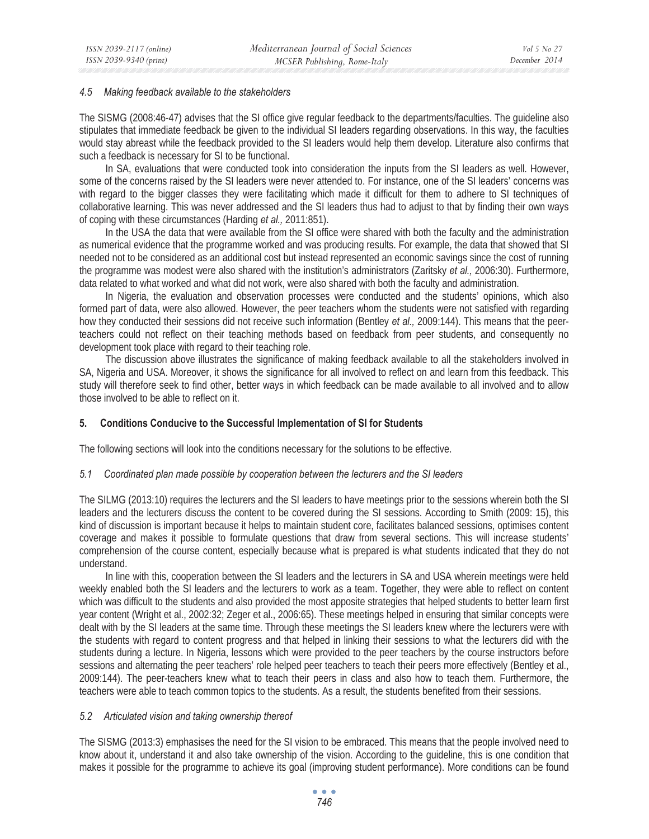#### *4.5 Making feedback available to the stakeholders*

The SISMG (2008:46-47) advises that the SI office give regular feedback to the departments/faculties. The guideline also stipulates that immediate feedback be given to the individual SI leaders regarding observations. In this way, the faculties would stay abreast while the feedback provided to the SI leaders would help them develop. Literature also confirms that such a feedback is necessary for SI to be functional.

In SA, evaluations that were conducted took into consideration the inputs from the SI leaders as well. However, some of the concerns raised by the SI leaders were never attended to. For instance, one of the SI leaders' concerns was with regard to the bigger classes they were facilitating which made it difficult for them to adhere to SI techniques of collaborative learning. This was never addressed and the SI leaders thus had to adjust to that by finding their own ways of coping with these circumstances (Harding *et al.,* 2011:851).

In the USA the data that were available from the SI office were shared with both the faculty and the administration as numerical evidence that the programme worked and was producing results. For example, the data that showed that SI needed not to be considered as an additional cost but instead represented an economic savings since the cost of running the programme was modest were also shared with the institution's administrators (Zaritsky *et al.,* 2006:30). Furthermore, data related to what worked and what did not work, were also shared with both the faculty and administration.

In Nigeria, the evaluation and observation processes were conducted and the students' opinions, which also formed part of data, were also allowed. However, the peer teachers whom the students were not satisfied with regarding how they conducted their sessions did not receive such information (Bentley *et al.,* 2009:144). This means that the peerteachers could not reflect on their teaching methods based on feedback from peer students, and consequently no development took place with regard to their teaching role.

The discussion above illustrates the significance of making feedback available to all the stakeholders involved in SA, Nigeria and USA. Moreover, it shows the significance for all involved to reflect on and learn from this feedback. This study will therefore seek to find other, better ways in which feedback can be made available to all involved and to allow those involved to be able to reflect on it.

## **5. Conditions Conducive to the Successful Implementation of SI for Students**

The following sections will look into the conditions necessary for the solutions to be effective.

## *5.1 Coordinated plan made possible by cooperation between the lecturers and the SI leaders*

The SILMG (2013:10) requires the lecturers and the SI leaders to have meetings prior to the sessions wherein both the SI leaders and the lecturers discuss the content to be covered during the SI sessions. According to Smith (2009: 15), this kind of discussion is important because it helps to maintain student core, facilitates balanced sessions, optimises content coverage and makes it possible to formulate questions that draw from several sections. This will increase students' comprehension of the course content, especially because what is prepared is what students indicated that they do not understand.

In line with this, cooperation between the SI leaders and the lecturers in SA and USA wherein meetings were held weekly enabled both the SI leaders and the lecturers to work as a team. Together, they were able to reflect on content which was difficult to the students and also provided the most apposite strategies that helped students to better learn first year content (Wright et al., 2002:32; Zeger et al., 2006:65). These meetings helped in ensuring that similar concepts were dealt with by the SI leaders at the same time. Through these meetings the SI leaders knew where the lecturers were with the students with regard to content progress and that helped in linking their sessions to what the lecturers did with the students during a lecture. In Nigeria, lessons which were provided to the peer teachers by the course instructors before sessions and alternating the peer teachers' role helped peer teachers to teach their peers more effectively (Bentley et al., 2009:144). The peer-teachers knew what to teach their peers in class and also how to teach them. Furthermore, the teachers were able to teach common topics to the students. As a result, the students benefited from their sessions.

## *5.2 Articulated vision and taking ownership thereof*

The SISMG (2013:3) emphasises the need for the SI vision to be embraced. This means that the people involved need to know about it, understand it and also take ownership of the vision. According to the guideline, this is one condition that makes it possible for the programme to achieve its goal (improving student performance). More conditions can be found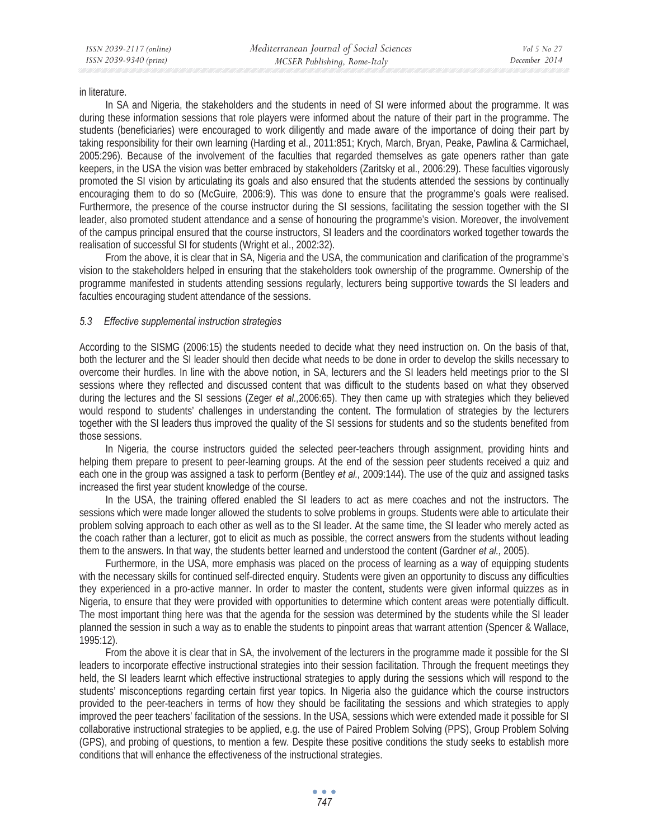in literature.

In SA and Nigeria, the stakeholders and the students in need of SI were informed about the programme. It was during these information sessions that role players were informed about the nature of their part in the programme. The students (beneficiaries) were encouraged to work diligently and made aware of the importance of doing their part by taking responsibility for their own learning (Harding et al., 2011:851; Krych, March, Bryan, Peake, Pawlina & Carmichael, 2005:296). Because of the involvement of the faculties that regarded themselves as gate openers rather than gate keepers, in the USA the vision was better embraced by stakeholders (Zaritsky et al., 2006:29). These faculties vigorously promoted the SI vision by articulating its goals and also ensured that the students attended the sessions by continually encouraging them to do so (McGuire, 2006:9). This was done to ensure that the programme's goals were realised. Furthermore, the presence of the course instructor during the SI sessions, facilitating the session together with the SI leader, also promoted student attendance and a sense of honouring the programme's vision. Moreover, the involvement of the campus principal ensured that the course instructors, SI leaders and the coordinators worked together towards the realisation of successful SI for students (Wright et al., 2002:32).

From the above, it is clear that in SA, Nigeria and the USA, the communication and clarification of the programme's vision to the stakeholders helped in ensuring that the stakeholders took ownership of the programme. Ownership of the programme manifested in students attending sessions regularly, lecturers being supportive towards the SI leaders and faculties encouraging student attendance of the sessions.

## *5.3 Effective supplemental instruction strategies*

According to the SISMG (2006:15) the students needed to decide what they need instruction on. On the basis of that, both the lecturer and the SI leader should then decide what needs to be done in order to develop the skills necessary to overcome their hurdles. In line with the above notion, in SA, lecturers and the SI leaders held meetings prior to the SI sessions where they reflected and discussed content that was difficult to the students based on what they observed during the lectures and the SI sessions (Zeger *et al.,*2006:65). They then came up with strategies which they believed would respond to students' challenges in understanding the content. The formulation of strategies by the lecturers together with the SI leaders thus improved the quality of the SI sessions for students and so the students benefited from those sessions.

In Nigeria, the course instructors guided the selected peer-teachers through assignment, providing hints and helping them prepare to present to peer-learning groups. At the end of the session peer students received a quiz and each one in the group was assigned a task to perform (Bentley *et al.,* 2009:144). The use of the quiz and assigned tasks increased the first year student knowledge of the course.

In the USA, the training offered enabled the SI leaders to act as mere coaches and not the instructors. The sessions which were made longer allowed the students to solve problems in groups. Students were able to articulate their problem solving approach to each other as well as to the SI leader. At the same time, the SI leader who merely acted as the coach rather than a lecturer, got to elicit as much as possible, the correct answers from the students without leading them to the answers. In that way, the students better learned and understood the content (Gardner *et al.,* 2005).

Furthermore, in the USA, more emphasis was placed on the process of learning as a way of equipping students with the necessary skills for continued self-directed enquiry. Students were given an opportunity to discuss any difficulties they experienced in a pro-active manner. In order to master the content, students were given informal quizzes as in Nigeria, to ensure that they were provided with opportunities to determine which content areas were potentially difficult. The most important thing here was that the agenda for the session was determined by the students while the SI leader planned the session in such a way as to enable the students to pinpoint areas that warrant attention (Spencer & Wallace, 1995:12).

From the above it is clear that in SA, the involvement of the lecturers in the programme made it possible for the SI leaders to incorporate effective instructional strategies into their session facilitation. Through the frequent meetings they held, the SI leaders learnt which effective instructional strategies to apply during the sessions which will respond to the students' misconceptions regarding certain first year topics. In Nigeria also the guidance which the course instructors provided to the peer-teachers in terms of how they should be facilitating the sessions and which strategies to apply improved the peer teachers' facilitation of the sessions. In the USA, sessions which were extended made it possible for SI collaborative instructional strategies to be applied, e.g. the use of Paired Problem Solving (PPS), Group Problem Solving (GPS), and probing of questions, to mention a few. Despite these positive conditions the study seeks to establish more conditions that will enhance the effectiveness of the instructional strategies.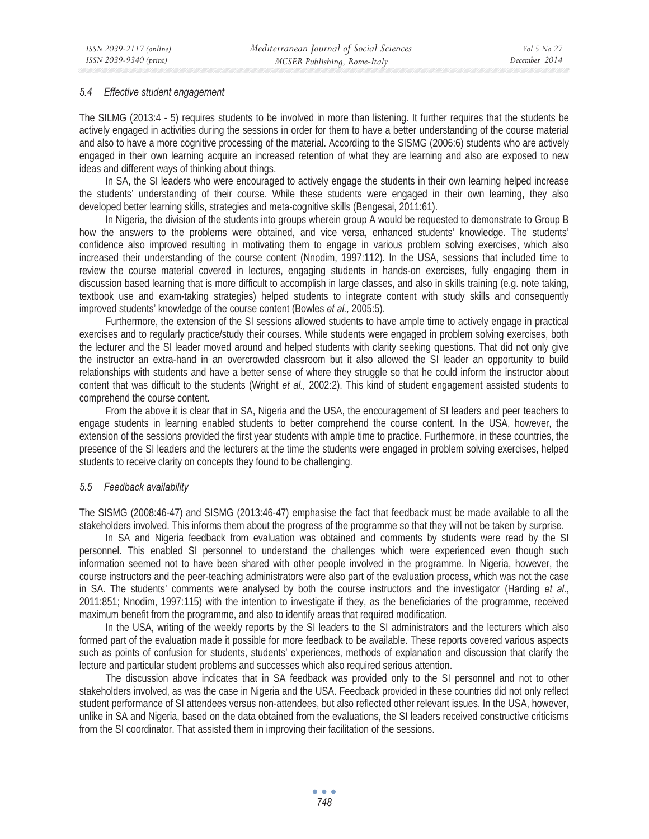#### *5.4 Effective student engagement*

The SILMG (2013:4 - 5) requires students to be involved in more than listening. It further requires that the students be actively engaged in activities during the sessions in order for them to have a better understanding of the course material and also to have a more cognitive processing of the material. According to the SISMG (2006:6) students who are actively engaged in their own learning acquire an increased retention of what they are learning and also are exposed to new ideas and different ways of thinking about things.

In SA, the SI leaders who were encouraged to actively engage the students in their own learning helped increase the students' understanding of their course. While these students were engaged in their own learning, they also developed better learning skills, strategies and meta-cognitive skills (Bengesai, 2011:61).

In Nigeria, the division of the students into groups wherein group A would be requested to demonstrate to Group B how the answers to the problems were obtained, and vice versa, enhanced students' knowledge. The students' confidence also improved resulting in motivating them to engage in various problem solving exercises, which also increased their understanding of the course content (Nnodim, 1997:112). In the USA, sessions that included time to review the course material covered in lectures, engaging students in hands-on exercises, fully engaging them in discussion based learning that is more difficult to accomplish in large classes, and also in skills training (e.g. note taking, textbook use and exam-taking strategies) helped students to integrate content with study skills and consequently improved students' knowledge of the course content (Bowles *et al.,* 2005:5).

Furthermore, the extension of the SI sessions allowed students to have ample time to actively engage in practical exercises and to regularly practice/study their courses. While students were engaged in problem solving exercises, both the lecturer and the SI leader moved around and helped students with clarity seeking questions. That did not only give the instructor an extra-hand in an overcrowded classroom but it also allowed the SI leader an opportunity to build relationships with students and have a better sense of where they struggle so that he could inform the instructor about content that was difficult to the students (Wright *et al.,* 2002:2). This kind of student engagement assisted students to comprehend the course content.

From the above it is clear that in SA, Nigeria and the USA, the encouragement of SI leaders and peer teachers to engage students in learning enabled students to better comprehend the course content. In the USA, however, the extension of the sessions provided the first year students with ample time to practice. Furthermore, in these countries, the presence of the SI leaders and the lecturers at the time the students were engaged in problem solving exercises, helped students to receive clarity on concepts they found to be challenging.

## *5.5 Feedback availability*

The SISMG (2008:46-47) and SISMG (2013:46-47) emphasise the fact that feedback must be made available to all the stakeholders involved. This informs them about the progress of the programme so that they will not be taken by surprise.

In SA and Nigeria feedback from evaluation was obtained and comments by students were read by the SI personnel. This enabled SI personnel to understand the challenges which were experienced even though such information seemed not to have been shared with other people involved in the programme. In Nigeria, however, the course instructors and the peer-teaching administrators were also part of the evaluation process, which was not the case in SA. The students' comments were analysed by both the course instructors and the investigator (Harding *et al.*, 2011:851; Nnodim, 1997:115) with the intention to investigate if they, as the beneficiaries of the programme, received maximum benefit from the programme, and also to identify areas that required modification.

In the USA, writing of the weekly reports by the SI leaders to the SI administrators and the lecturers which also formed part of the evaluation made it possible for more feedback to be available. These reports covered various aspects such as points of confusion for students, students' experiences, methods of explanation and discussion that clarify the lecture and particular student problems and successes which also required serious attention.

The discussion above indicates that in SA feedback was provided only to the SI personnel and not to other stakeholders involved, as was the case in Nigeria and the USA. Feedback provided in these countries did not only reflect student performance of SI attendees versus non-attendees, but also reflected other relevant issues. In the USA, however, unlike in SA and Nigeria, based on the data obtained from the evaluations, the SI leaders received constructive criticisms from the SI coordinator. That assisted them in improving their facilitation of the sessions.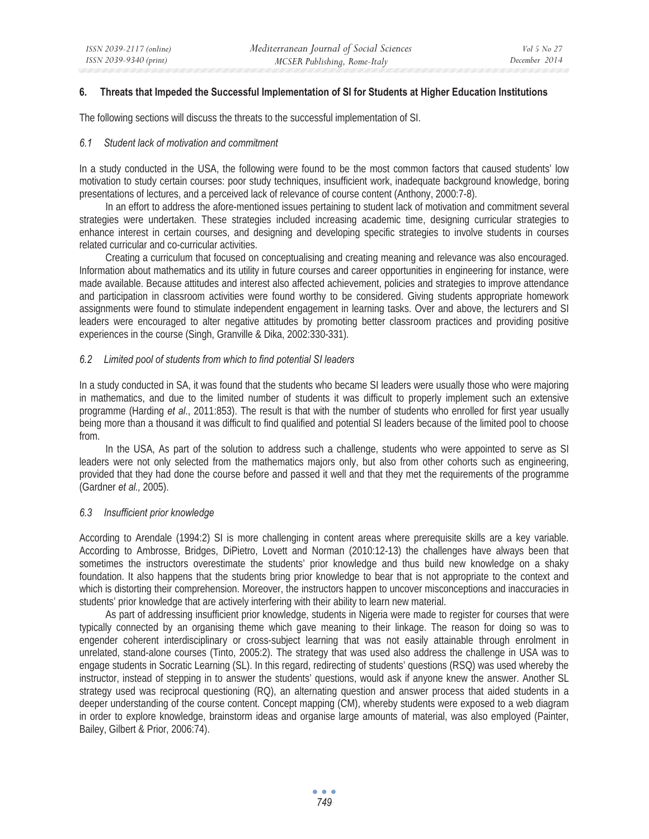#### **6. Threats that Impeded the Successful Implementation of SI for Students at Higher Education Institutions**

The following sections will discuss the threats to the successful implementation of SI.

#### *6.1 Student lack of motivation and commitment*

In a study conducted in the USA, the following were found to be the most common factors that caused students' low motivation to study certain courses: poor study techniques, insufficient work, inadequate background knowledge, boring presentations of lectures, and a perceived lack of relevance of course content (Anthony, 2000:7-8).

In an effort to address the afore-mentioned issues pertaining to student lack of motivation and commitment several strategies were undertaken. These strategies included increasing academic time, designing curricular strategies to enhance interest in certain courses, and designing and developing specific strategies to involve students in courses related curricular and co-curricular activities.

Creating a curriculum that focused on conceptualising and creating meaning and relevance was also encouraged. Information about mathematics and its utility in future courses and career opportunities in engineering for instance, were made available. Because attitudes and interest also affected achievement, policies and strategies to improve attendance and participation in classroom activities were found worthy to be considered. Giving students appropriate homework assignments were found to stimulate independent engagement in learning tasks. Over and above, the lecturers and SI leaders were encouraged to alter negative attitudes by promoting better classroom practices and providing positive experiences in the course (Singh, Granville & Dika, 2002:330-331).

## *6.2 Limited pool of students from which to find potential SI leaders*

In a study conducted in SA, it was found that the students who became SI leaders were usually those who were majoring in mathematics, and due to the limited number of students it was difficult to properly implement such an extensive programme (Harding *et al*., 2011:853). The result is that with the number of students who enrolled for first year usually being more than a thousand it was difficult to find qualified and potential SI leaders because of the limited pool to choose from.

In the USA, As part of the solution to address such a challenge, students who were appointed to serve as SI leaders were not only selected from the mathematics majors only, but also from other cohorts such as engineering, provided that they had done the course before and passed it well and that they met the requirements of the programme (Gardner *et al.,* 2005).

## *6.3 Insufficient prior knowledge*

According to Arendale (1994:2) SI is more challenging in content areas where prerequisite skills are a key variable. According to Ambrosse, Bridges, DiPietro, Lovett and Norman (2010:12-13) the challenges have always been that sometimes the instructors overestimate the students' prior knowledge and thus build new knowledge on a shaky foundation. It also happens that the students bring prior knowledge to bear that is not appropriate to the context and which is distorting their comprehension. Moreover, the instructors happen to uncover misconceptions and inaccuracies in students' prior knowledge that are actively interfering with their ability to learn new material.

As part of addressing insufficient prior knowledge, students in Nigeria were made to register for courses that were typically connected by an organising theme which gave meaning to their linkage. The reason for doing so was to engender coherent interdisciplinary or cross-subject learning that was not easily attainable through enrolment in unrelated, stand-alone courses (Tinto, 2005:2). The strategy that was used also address the challenge in USA was to engage students in Socratic Learning (SL). In this regard, redirecting of students' questions (RSQ) was used whereby the instructor, instead of stepping in to answer the students' questions, would ask if anyone knew the answer. Another SL strategy used was reciprocal questioning (RQ), an alternating question and answer process that aided students in a deeper understanding of the course content. Concept mapping (CM), whereby students were exposed to a web diagram in order to explore knowledge, brainstorm ideas and organise large amounts of material, was also employed (Painter, Bailey, Gilbert & Prior, 2006:74).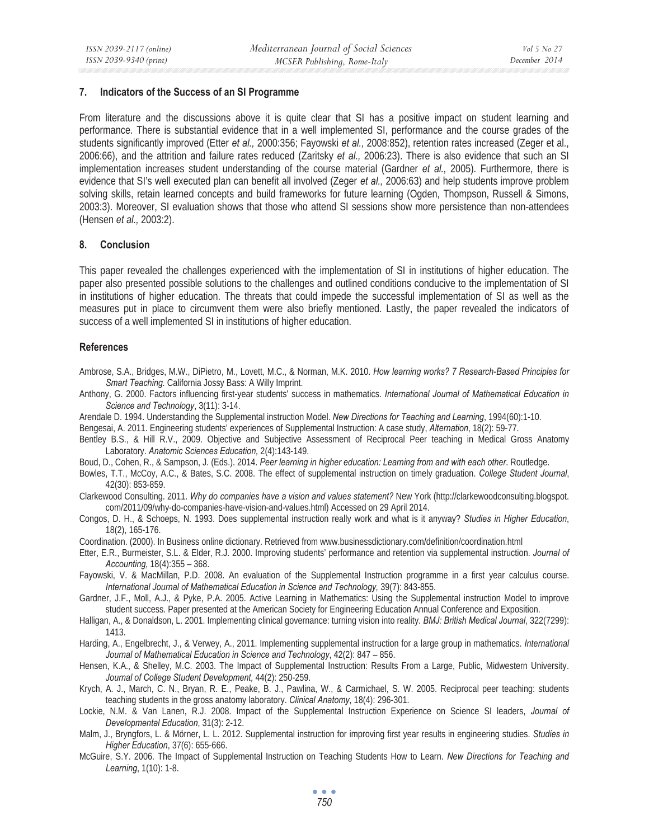#### **7. Indicators of the Success of an SI Programme**

From literature and the discussions above it is quite clear that SI has a positive impact on student learning and performance. There is substantial evidence that in a well implemented SI, performance and the course grades of the students significantly improved (Etter *et al.,* 2000:356; Fayowski *et al.,* 2008:852), retention rates increased (Zeger et al., 2006:66), and the attrition and failure rates reduced (Zaritsky *et al.,* 2006:23). There is also evidence that such an SI implementation increases student understanding of the course material (Gardner *et al.,* 2005). Furthermore, there is evidence that SI's well executed plan can benefit all involved (Zeger *et al.,* 2006:63) and help students improve problem solving skills, retain learned concepts and build frameworks for future learning (Ogden, Thompson, Russell & Simons, 2003:3). Moreover, SI evaluation shows that those who attend SI sessions show more persistence than non-attendees (Hensen *et al.,* 2003:2).

## **8. Conclusion**

This paper revealed the challenges experienced with the implementation of SI in institutions of higher education. The paper also presented possible solutions to the challenges and outlined conditions conducive to the implementation of SI in institutions of higher education. The threats that could impede the successful implementation of SI as well as the measures put in place to circumvent them were also briefly mentioned. Lastly, the paper revealed the indicators of success of a well implemented SI in institutions of higher education.

#### **References**

Ambrose, S.A., Bridges, M.W., DiPietro, M., Lovett, M.C., & Norman, M.K. 2010. *How learning works? 7 Research-Based Principles for Smart Teaching.* California Jossy Bass: A Willy Imprint.

- Anthony, G. 2000. Factors influencing first-year students' success in mathematics. *International Journal of Mathematical Education in Science and Technology*, 3(11): 3-14.
- Arendale D. 1994. Understanding the Supplemental instruction Model. *New Directions for Teaching and Learning*, 1994(60):1-10.
- Bengesai, A. 2011. Engineering students' experiences of Supplemental Instruction: A case study, *Alternation*, 18(2): 59-77.
- Bentley B.S., & Hill R.V., 2009. Objective and Subjective Assessment of Reciprocal Peer teaching in Medical Gross Anatomy Laboratory. *Anatomic Sciences Education,* 2(4):143-149.
- Boud, D., Cohen, R., & Sampson, J. (Eds.). 2014. *Peer learning in higher education: Learning from and with each other*. Routledge.
- Bowles, T.T., McCoy, A.C., & Bates, S.C. 2008. The effect of supplemental instruction on timely graduation. *College Student Journal*, 42(30): 853-859.
- Clarkewood Consulting. 2011. *Why do companies have a vision and values statement?* New York (http://clarkewoodconsulting.blogspot. com/2011/09/why-do-companies-have-vision-and-values.html) Accessed on 29 April 2014.
- Congos, D. H., & Schoeps, N. 1993. Does supplemental instruction really work and what is it anyway? *Studies in Higher Education*, 18(2), 165-176.
- Coordination. (2000). In Business online dictionary. Retrieved from www.businessdictionary.com/definition/coordination.html
- Etter, E.R., Burmeister, S.L. & Elder, R.J. 2000. Improving students' performance and retention via supplemental instruction. *Journal of Accounting,* 18(4):355 – 368.
- Fayowski, V. & MacMillan, P.D. 2008. An evaluation of the Supplemental Instruction programme in a first year calculus course. *International Journal of Mathematical Education in Science and Technology,* 39(7): 843-855.
- Gardner, J.F., Moll, A.J., & Pyke, P.A. 2005. Active Learning in Mathematics: Using the Supplemental instruction Model to improve student success. Paper presented at the American Society for Engineering Education Annual Conference and Exposition.
- Halligan, A., & Donaldson, L. 2001. Implementing clinical governance: turning vision into reality. *BMJ: British Medical Journal*, 322(7299): 1413.
- Harding, A., Engelbrecht, J., & Verwey, A., 2011. Implementing supplemental instruction for a large group in mathematics. *International Journal of Mathematical Education in Science and Technology*, 42(2): 847 – 856.
- Hensen, K.A., & Shelley, M.C. 2003. The Impact of Supplemental Instruction: Results From a Large, Public, Midwestern University. *Journal of College Student Development,* 44(2): 250-259.
- Krych, A. J., March, C. N., Bryan, R. E., Peake, B. J., Pawlina, W., & Carmichael, S. W. 2005. Reciprocal peer teaching: students teaching students in the gross anatomy laboratory. *Clinical Anatomy*, 18(4): 296-301.
- Lockie, N.M. & Van Lanen, R.J. 2008. Impact of the Supplemental Instruction Experience on Science SI leaders, *Journal of Developmental Education*, 31(3): 2-12.
- Malm, J., Bryngfors, L. & Mörner, L. L. 2012. Supplemental instruction for improving first year results in engineering studies. *Studies in Higher Education*, 37(6): 655-666.
- McGuire, S.Y. 2006. The Impact of Supplemental Instruction on Teaching Students How to Learn. *New Directions for Teaching and Learning*, 1(10): 1-8.